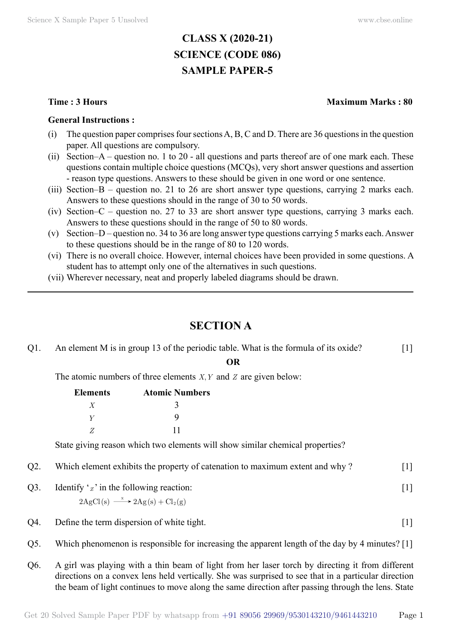# **CLASS X (2020-21) SCIENCE (CODE 086) SAMPLE PAPER-5**

#### **General Instructions :**

- (i) The question paper comprises four sections A, B, C and D. There are 36 questions in the question paper. All questions are compulsory.
- (ii) Section–A question no. 1 to 20 all questions and parts thereof are of one mark each. These questions contain multiple choice questions (MCQs), very short answer questions and assertion - reason type questions. Answers to these should be given in one word or one sentence.
- (iii) Section–B question no. 21 to 26 are short answer type questions, carrying 2 marks each. Answers to these questions should in the range of 30 to 50 words.
- (iv) Section–C question no. 27 to 33 are short answer type questions, carrying 3 marks each. Answers to these questions should in the range of 50 to 80 words.
- (v) Section–D question no. 34 to 36 are long answer type questions carrying 5 marks each. Answer to these questions should be in the range of 80 to 120 words.
- (vi) There is no overall choice. However, internal choices have been provided in some questions. A student has to attempt only one of the alternatives in such questions.
- (vii) Wherever necessary, neat and properly labeled diagrams should be drawn.

# **Section A**

| $Q1$ . | An element M is in group 13 of the periodic table. What is the formula of its oxide?  |                       |           | $\lceil 1 \rceil$                                                                                                                                                              |  |
|--------|---------------------------------------------------------------------------------------|-----------------------|-----------|--------------------------------------------------------------------------------------------------------------------------------------------------------------------------------|--|
|        |                                                                                       |                       | <b>OR</b> |                                                                                                                                                                                |  |
|        | The atomic numbers of three elements $X, Y$ and $Z$ are given below:                  |                       |           |                                                                                                                                                                                |  |
|        | <b>Elements</b>                                                                       | <b>Atomic Numbers</b> |           |                                                                                                                                                                                |  |
|        | X                                                                                     |                       |           |                                                                                                                                                                                |  |
|        | Y                                                                                     | 9                     |           |                                                                                                                                                                                |  |
|        | Z                                                                                     | 11                    |           |                                                                                                                                                                                |  |
|        | State giving reason which two elements will show similar chemical properties?         |                       |           |                                                                                                                                                                                |  |
| $Q2$ . | Which element exhibits the property of catenation to maximum extent and why?<br>$[1]$ |                       |           |                                                                                                                                                                                |  |
| $Q3$ . | Identify $x'$ in the following reaction:                                              |                       |           | $[1] % \includegraphics[width=0.9\columnwidth]{figures/fig_10.pdf} \caption{The figure shows the number of times of the estimators in the left and right.} \label{fig:time} %$ |  |

$$
2\mathrm{AgCl(s)} \xrightarrow{\ x \ } 2\mathrm{Ag(s)} + \mathrm{Cl_2(g)}
$$

- Q4. Define the term dispersion of white tight. [1]
- Q5. Which phenomenon is responsible for increasing the apparent length of the day by 4 minutes? [1]
- Q6. A girl was playing with a thin beam of light from her laser torch by directing it from different directions on a convex lens held vertically. She was surprised to see that in a particular direction the beam of light continues to move along the same direction after passing through the lens. State

#### **Time : 3 Hours Maximum Marks : 80**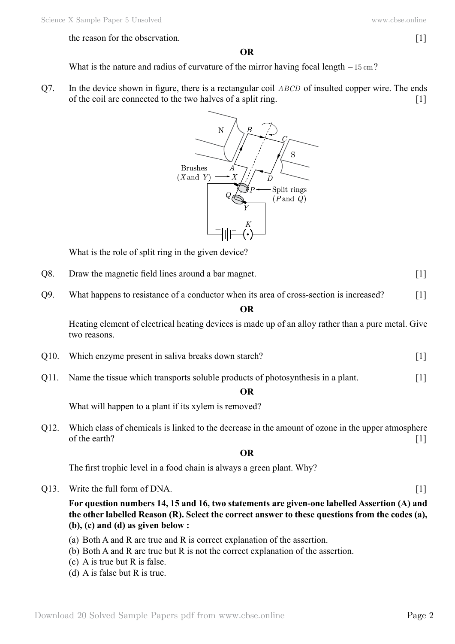#### the reason for the observation. [1]

### **O**

What is the nature and radius of curvature of the mirror having focal length  $-15 \text{ cm}$ ?

Q7. In the device shown in figure, there is a rectangular coil *ABCD* of insulted copper wire. The ends of the coil are connected to the two halves of a split ring. [1]



What is the role of split ring in the given device?

- Q8. Draw the magnetic field lines around a bar magnet. [1]
- Q9. What happens to resistance of a conductor when its area of cross-section is increased? [1]

#### **O**

Heating element of electrical heating devices is made up of an alloy rather than a pure metal. Give two reasons.

- Q10. Which enzyme present in saliva breaks down starch? [1]
- Q11. Name the tissue which transports soluble products of photosynthesis in a plant. [1]

#### **O**

What will happen to a plant if its xylem is removed?

Q12. Which class of chemicals is linked to the decrease in the amount of ozone in the upper atmosphere of the earth?  $[1]$ 

#### **O**

The first trophic level in a food chain is always a green plant. Why?

Q13. Write the full form of DNA. [1]

### **For question numbers 14, 15 and 16, two statements are given-one labelled Assertion (A) and the other labelled Reason (R). Select the correct answer to these questions from the codes (a), (b), (c) and (d) as given below :**

- (a) Both A and R are true and R is correct explanation of the assertion.
- (b) Both A and R are true but R is not the correct explanation of the assertion.
- (c) A is true but R is false.
- (d) A is false but R is true.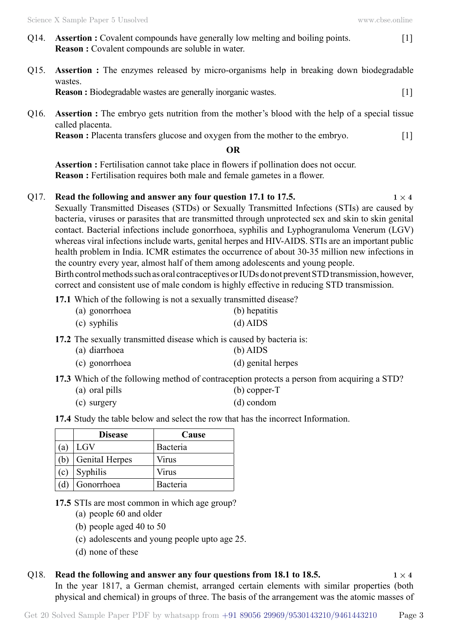- Q14. **Assertion :** Covalent compounds have generally low melting and boiling points. [1] **Reason :** Covalent compounds are soluble in water.
- Q15. **Assertion :** The enzymes released by micro-organisms help in breaking down biodegradable wastes. **Reason :** Biodegradable wastes are generally inorganic wastes. [1]
- Q16. **Assertion :** The embryo gets nutrition from the mother's blood with the help of a special tissue called placenta.

**Reason :** Placenta transfers glucose and oxygen from the mother to the embryo. [1]

#### **O**

**Assertion :** Fertilisation cannot take place in flowers if pollination does not occur. **Reason :** Fertilisation requires both male and female gametes in a flower.

### Q17. **Read the following and answer any four question 17.1 to 17.5.**  $1 \times 4$

Sexually Transmitted Diseases (STDs) or Sexually Transmitted Infections (STIs) are caused by bacteria, viruses or parasites that are transmitted through unprotected sex and skin to skin genital contact. Bacterial infections include gonorrhoea, syphilis and Lyphogranuloma Venerum (LGV) whereas viral infections include warts, genital herpes and HIV-AIDS. STIs are an important public health problem in India. ICMR estimates the occurrence of about 30-35 million new infections in the country every year, almost half of them among adolescents and young people. Birth control methods such as oral contraceptives or IUDs do not prevent STD transmission, however, correct and consistent use of male condom is highly effective in reducing STD transmission.

**17.1** Which of the following is not a sexually transmitted disease?

| (a) gonorrhoea | (b) hepatitis |
|----------------|---------------|
| (c) syphilis   | $(d)$ AIDS    |

**17.2** The sexually transmitted disease which is caused by bacteria is:

| (a) diarrhoea  | $(b)$ AIDS         |
|----------------|--------------------|
| (c) gonorrhoea | (d) genital herpes |

**17.3** Which of the following method of contraception protects a person from acquiring a STD?

| (a) oral pills | $(b)$ copper-T |
|----------------|----------------|
| (c) surgery    | $(d)$ condom   |

**17.4** Study the table below and select the row that has the incorrect Information.

|              | <b>Disease</b>        | Cause    |
|--------------|-----------------------|----------|
| <sup>a</sup> | LGV                   | Bacteria |
|              | <b>Genital Herpes</b> | Virus    |
| (c)          | Syphilis              | Virus    |
|              | Gonorrhoea            | Bacteria |

- **17.5** STIs are most common in which age group?
	- (a) people 60 and older
	- (b) people aged 40 to 50
	- (c) adolescents and young people upto age 25.
	- (d) none of these

#### Q18. **Read the following and answer any four questions from 18.1 to 18.5.**  $1 \times 4$

In the year 1817, a German chemist, arranged certain elements with similar properties (both physical and chemical) in groups of three. The basis of the arrangement was the atomic masses of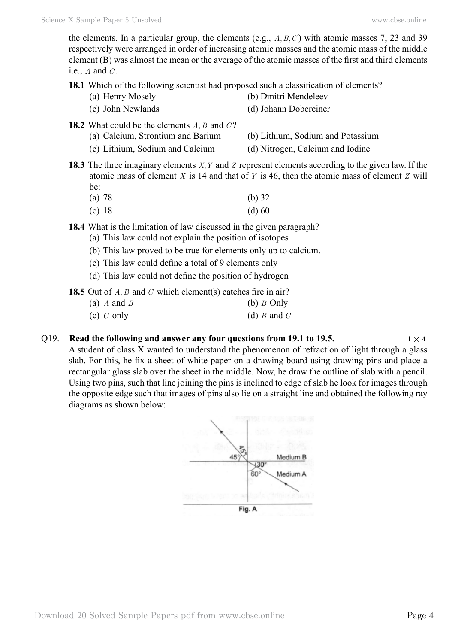the elements. In a particular group, the elements (e.g.,  $A, B, C$ ) with atomic masses 7, 23 and 39 respectively were arranged in order of increasing atomic masses and the atomic mass of the middle element (B) was almost the mean or the average of the atomic masses of the first and third elements i.e., *A* and *C* .

**18.1** Which of the following scientist had proposed such a classification of elements?

- (a) Henry Mosely (b) Dmitri Mendeleev
- (c) John Newlands (d) Johann Dobereiner
- **18.2** What could be the elements *A, B* and *C*?
	- (a) Calcium, Strontium and Barium (b) Lithium, Sodium and Potassium
		-
	- (c) Lithium, Sodium and Calcium (d) Nitrogen, Calcium and Iodine
- 
- **18.3** The three imaginary elements *X, Y* and *Z* represent elements according to the given law. If the atomic mass of element *X* is 14 and that of *Y* is 46, then the atomic mass of element *Z* will be:
	- (a) 78 (b) 32 (c)  $18$  (d)  $60$
- **18.4** What is the limitation of law discussed in the given paragraph?
	- (a) This law could not explain the position of isotopes
		- (b) This law proved to be true for elements only up to calcium.
	- (c) This law could define a total of 9 elements only
	- (d) This law could not define the position of hydrogen
- **18.5** Out of *A, B* and *C* which element(s) catches fire in air?
	- (a) *A* and *B* (b) *B* Only (c) *C* only (d) *B* and *C*

#### Q19. **Read the following and answer any four questions from 19.1 to 19.5.**  $1 \times 4$

A student of class X wanted to understand the phenomenon of refraction of light through a glass slab. For this, he fix a sheet of white paper on a drawing board using drawing pins and place a rectangular glass slab over the sheet in the middle. Now, he draw the outline of slab with a pencil. Using two pins, such that line joining the pins is inclined to edge of slab he look for images through the opposite edge such that images of pins also lie on a straight line and obtained the following ray diagrams as shown below:

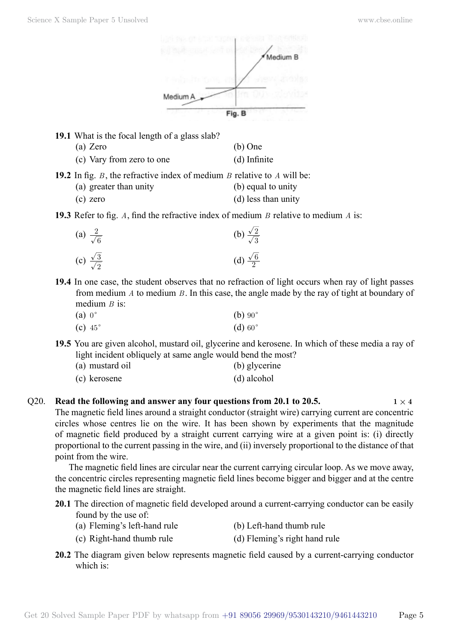

**19.1** What is the focal length of a glass slab?

| (b) One |
|---------|
|         |

(c) Vary from zero to one (d) Infinite

**19.2** In fig. *B* , the refractive index of medium *B* relative to *A* will be:

- (a) greater than unity (b) equal to unity
- (c) zero (d) less than unity

**19.3** Refer to fig. *A*, find the refractive index of medium *B* relative to medium *A* is:

| (a) $\frac{2}{\sqrt{6}}$        | (b) $\frac{\sqrt{2}}{\sqrt{3}}$ |
|---------------------------------|---------------------------------|
| (c) $\frac{\sqrt{3}}{\sqrt{2}}$ | (d) $\frac{\sqrt{6}}{2}$        |

**19.4** In one case, the student observes that no refraction of light occurs when ray of light passes from medium *A* to medium *B* . In this case, the angle made by the ray of tight at boundary of medium *B* is:

| $(a) 0^{\circ}$ |                | (b) $90^\circ$ |
|-----------------|----------------|----------------|
|                 | (c) $45^\circ$ | (d) 60°        |

**19.5** You are given alcohol, mustard oil, glycerine and kerosene. In which of these media a ray of light incident obliquely at same angle would bend the most?

| (a) mustard oil | (b) glycerine |
|-----------------|---------------|
| (c) kerosene    | (d) alcohol   |

Q20. **Read the following and answer any four questions from 20.1 to 20.5.**  $1 \times 4$ The magnetic field lines around a straight conductor (straight wire) carrying current are concentric circles whose centres lie on the wire. It has been shown by experiments that the magnitude of magnetic field produced by a straight current carrying wire at a given point is: (i) directly proportional to the current passing in the wire, and (ii) inversely proportional to the distance of that point from the wire.

The magnetic field lines are circular near the current carrying circular loop. As we move away, the concentric circles representing magnetic field lines become bigger and bigger and at the centre the magnetic field lines are straight.

- **20.1** The direction of magnetic field developed around a current-carrying conductor can be easily found by the use of:
	- (a) Fleming's left-hand rule (b) Left-hand thumb rule
	- (c) Right-hand thumb rule (d) Fleming's right hand rule
- **20.2** The diagram given below represents magnetic field caused by a current-carrying conductor which is: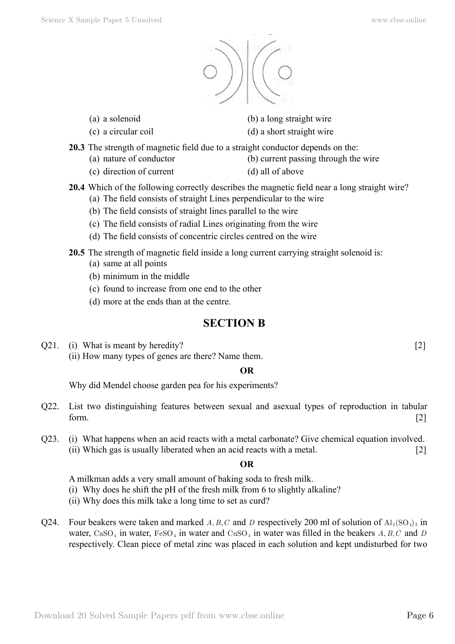

- 
- 

(a) a solenoid (b) a long straight wire

(c) a circular coil (d) a short straight wire

- **20.3** The strength of magnetic field due to a straight conductor depends on the:
	- (a) nature of conductor (b) current passing through the wire
	- (c) direction of current (d) all of above
- **20.4** Which of the following correctly describes the magnetic field near a long straight wire? (a) The field consists of straight Lines perpendicular to the wire
	- (b) The field consists of straight lines parallel to the wire
	- (c) The field consists of radial Lines originating from the wire
	- (d) The field consists of concentric circles centred on the wire
- **20.5** The strength of magnetic field inside a long current carrying straight solenoid is:
	- (a) same at all points
	- (b) minimum in the middle
	- (c) found to increase from one end to the other
	- (d) more at the ends than at the centre.

# **Section B**

Q21. (i) What is meant by heredity? [2] (ii) How many types of genes are there? Name them.

# **O**

Why did Mendel choose garden pea for his experiments?

- Q22. List two distinguishing features between sexual and asexual types of reproduction in tabular form.  $[2]$
- Q23. (i) What happens when an acid reacts with a metal carbonate? Give chemical equation involved. (ii) Which gas is usually liberated when an acid reacts with a metal. [2]

## **O**

A milkman adds a very small amount of baking soda to fresh milk.

- (i) Why does he shift the pH of the fresh milk from 6 to slightly alkaline?
- (ii) Why does this milk take a long time to set as curd?
- Q24. Four beakers were taken and marked *A, B, C* and *D* respectively 200 ml of solution of  $Al_2(SO_4)_3$  in water,  $CaSO_4$  in water,  $FeSO_4$  in water and  $CuSO_4$  in water was filled in the beakers *A, B, C* and *D* respectively. Clean piece of metal zinc was placed in each solution and kept undisturbed for two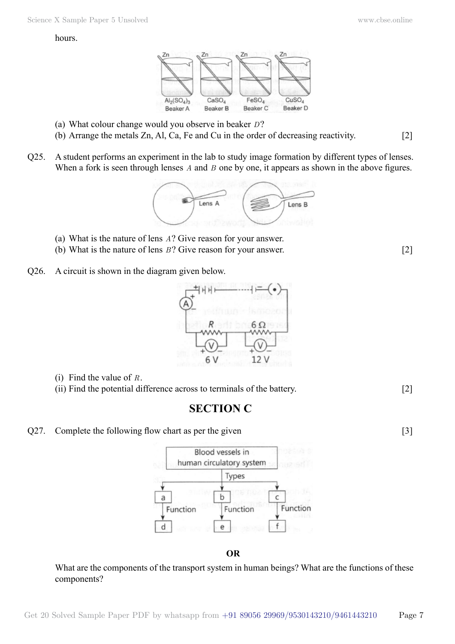#### hours.



- (a) What colour change would you observe in beaker *D*?
- (b) Arrange the metals Zn, Al, Ca, Fe and Cu in the order of decreasing reactivity. [2]
- Q25. A student performs an experiment in the lab to study image formation by different types of lenses. When a fork is seen through lenses *A* and *B* one by one, it appears as shown in the above figures.

Lens A Lens B

- (a) What is the nature of lens *A*? Give reason for your answer.
- (b) What is the nature of lens *B*? Give reason for your answer. [2]
- Q26. A circuit is shown in the diagram given below.



- (i) Find the value of *R*.
- (ii) Find the potential difference across to terminals of the battery. [2]

# **Section C**

Q27. Complete the following flow chart as per the given [3]



 **O**

What are the components of the transport system in human beings? What are the functions of these components?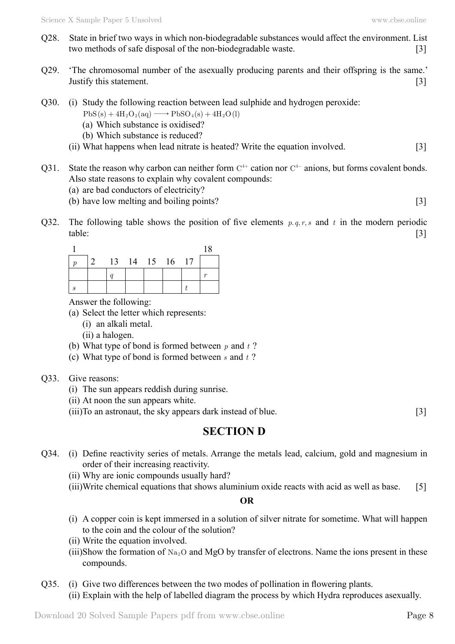- Q28. State in brief two ways in which non-biodegradable substances would affect the environment. List two methods of safe disposal of the non-biodegradable waste. [3]
- Q29. 'The chromosomal number of the asexually producing parents and their offspring is the same.' Justify this statement. [3]
- Q30. (i) Study the following reaction between lead sulphide and hydrogen peroxide:
	- $PbS(s) + 4H_2O_2(aq) \longrightarrow PbSO_4(s) + 4H_2O(l)$
	- (a) Which substance is oxidised?
	- (b) Which substance is reduced?
	- (ii) What happens when lead nitrate is heated? Write the equation involved. [3]
- Q31. State the reason why carbon can neither form  $C<sup>4+</sup>$  cation nor  $C<sup>4-</sup>$  anions, but forms covalent bonds. Also state reasons to explain why covalent compounds:
	- (a) are bad conductors of electricity?
	- (b) have low melting and boiling points? [3]
- Q32. The following table shows the position of five elements  $p, q, r, s$  and  $t$  in the modern periodic table: [3]

|                 |                |  |  | 18 |
|-----------------|----------------|--|--|----|
| $\vert 2 \vert$ | 13 14 15 16 17 |  |  |    |
|                 |                |  |  |    |
|                 |                |  |  |    |

Answer the following:

- (a) Select the letter which represents:
	- (i) an alkali metal.
	- (ii) a halogen.
- (b) What type of bond is formed between *p* and *t* ?
- (c) What type of bond is formed between *s* and *t* ?
- Q33. Give reasons:
	- (i) The sun appears reddish during sunrise.
	- (ii) At noon the sun appears white.
	- (iii)To an astronaut, the sky appears dark instead of blue. [3]

## **Section D**

- Q34. (i) Define reactivity series of metals. Arrange the metals lead, calcium, gold and magnesium in order of their increasing reactivity.
	- (ii) Why are ionic compounds usually hard?
	- (iii)Write chemical equations that shows aluminium oxide reacts with acid as well as base. [5]

#### **O**

- (i) A copper coin is kept immersed in a solution of silver nitrate for sometime. What will happen to the coin and the colour of the solution?
- (ii) Write the equation involved.
- (iii)Show the formation of  $Na<sub>2</sub>O$  and MgO by transfer of electrons. Name the ions present in these compounds.
- Q35. (i) Give two differences between the two modes of pollination in flowering plants. (ii) Explain with the help of labelled diagram the process by which Hydra reproduces asexually.